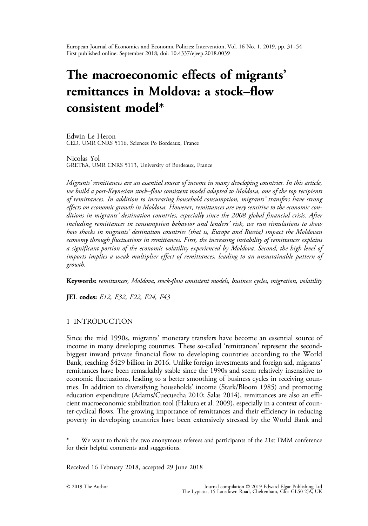<span id="page-0-0"></span>European Journal of Economics and Economic Policies: Intervention, Vol. 16 No. 1, 2019, pp. 31–54 First published online: September 2018; doi: 10.4337/ejeep.2018.0039

# The macroeconomic effects of migrants' remittances in Moldova: a stock–flow consistent model\*

Edwin Le Heron CED, UMR CNRS 5116, Sciences Po Bordeaux, France

Nicolas Yol GREThA, UMR CNRS 5113, University of Bordeaux, France

Migrants' remittances are an essential source of income in many developing countries. In this article, we build a post-Keynesian stock–flow consistent model adapted to Moldova, one of the top recipients of remittances. In addition to increasing household consumption, migrants' transfers have strong effects on economic growth in Moldova. However, remittances are very sensitive to the economic conditions in migrants' destination countries, especially since the 2008 global financial crisis. After including remittances in consumption behavior and lenders' risk, we run simulations to show how shocks in migrants' destination countries (that is, Europe and Russia) impact the Moldovan economy through fluctuations in remittances. First, the increasing instability of remittances explains a significant portion of the economic volatility experienced by Moldova. Second, the high level of imports implies a weak multiplier effect of remittances, leading to an unsustainable pattern of growth.

Keywords: remittances, Moldova, stock-flow consistent models, business cycles, migration, volatility

JEL codes: E12, E32, F22, F24, F43

## 1 INTRODUCTION

Since the mid 1990s, migrants' monetary transfers have become an essential source of income in many developing countries. These so-called 'remittances' represent the secondbiggest inward private financial flow to developing countries according to the World Bank, reaching \$429 billion in 2016. Unlike foreign investments and foreign aid, migrants' remittances have been remarkably stable since the 1990s and seem relatively insensitive to economic fluctuations, leading to a better smoothing of business cycles in receiving countries. In addition to diversifying households' income ([Stark/Bloom 1985](#page-18-0)) and promoting education expenditure [\(Adams/Cuecuecha 2010](#page-17-0); [Salas 2014\)](#page-18-0), remittances are also an efficient macroeconomic stabilization tool [\(Hakura et al. 2009](#page-18-0)), especially in a context of counter-cyclical flows. The growing importance of remittances and their efficiency in reducing poverty in developing countries have been extensively stressed by the World Bank and

We want to thank the two anonymous referees and participants of the 21st FMM conference for their helpful comments and suggestions.

Received 16 February 2018, accepted 29 June 2018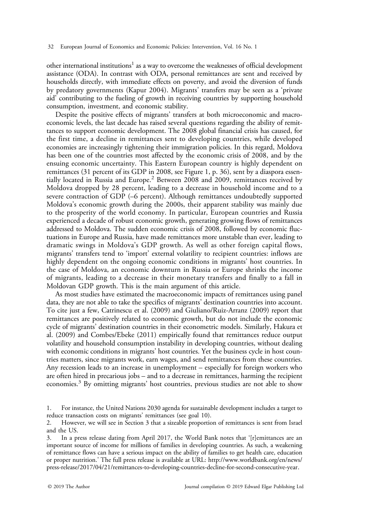other international institutions<sup>1</sup> as a way to overcome the weaknesses of official development assistance (ODA). In contrast with ODA, personal remittances are sent and received by households directly, with immediate effects on poverty, and avoid the diversion of funds by predatory governments [\(Kapur 2004](#page-18-0)). Migrants' transfers may be seen as a 'private aid' contributing to the fueling of growth in receiving countries by supporting household consumption, investment, and economic stability.

Despite the positive effects of migrants' transfers at both microeconomic and macroeconomic levels, the last decade has raised several questions regarding the ability of remittances to support economic development. The 2008 global financial crisis has caused, for the first time, a decline in remittances sent to developing countries, while developed economies are increasingly tightening their immigration policies. In this regard, Moldova has been one of the countries most affected by the economic crisis of 2008, and by the ensuing economic uncertainty. This Eastern European country is highly dependent on remittances (31 percent of its GDP in 2008, see [Figure 1,](#page-5-0) p. 36), sent by a diaspora essentially located in Russia and Europe.<sup>2</sup> Between 2008 and 2009, remittances received by Moldova dropped by 28 percent, leading to a decrease in household income and to a severe contraction of GDP (–6 percent). Although remittances undoubtedly supported Moldova's economic growth during the 2000s, their apparent stability was mainly due to the prosperity of the world economy. In particular, European countries and Russia experienced a decade of robust economic growth, generating growing flows of remittances addressed to Moldova. The sudden economic crisis of 2008, followed by economic fluctuations in Europe and Russia, have made remittances more unstable than ever, leading to dramatic swings in Moldova's GDP growth. As well as other foreign capital flows, migrants' transfers tend to 'import' external volatility to recipient countries: inflows are highly dependent on the ongoing economic conditions in migrants' host countries. In the case of Moldova, an economic downturn in Russia or Europe shrinks the income of migrants, leading to a decrease in their monetary transfers and finally to a fall in Moldovan GDP growth. This is the main argument of this article.

As most studies have estimated the macroeconomic impacts of remittances using panel data, they are not able to take the specifics of migrants' destination countries into account. To cite just a few, [Catrinescu et al. \(2009\)](#page-17-0) and [Giuliano/Ruiz-Arranz \(2009\)](#page-18-0) report that remittances are positively related to economic growth, but do not include the economic cycle of migrants' destination countries in their econometric models. Similarly, [Hakura et](#page-18-0) [al. \(2009\)](#page-18-0) and [Combes/Ebeke \(2011\)](#page-17-0) empirically found that remittances reduce output volatility and household consumption instability in developing countries, without dealing with economic conditions in migrants' host countries. Yet the business cycle in host countries matters, since migrants work, earn wages, and send remittances from these countries. Any recession leads to an increase in unemployment – especially for foreign workers who are often hired in precarious jobs – and to a decrease in remittances, harming the recipient economies.<sup>3</sup> By omitting migrants' host countries, previous studies are not able to show

<sup>1.</sup> For instance, the United Nations 2030 agenda for sustainable development includes a target to reduce transaction costs on migrants' remittances (see goal 10).<br>2. However, we will see in Section 3 that a sizeable proportion

However, we will see in [Section 3](#page-6-0) that a sizeable proportion of remittances is sent from Israel and the US.

In a press release dating from April 2017, the World Bank notes that '[r]emittances are an important source of income for millions of families in developing countries. As such, a weakening of remittance flows can have a serious impact on the ability of families to get health care, education or proper nutrition.' The full press release is available at URL: [http://www.worldbank.org/en/news/](http://www.worldbank.org/en/news/press-release/2017/04/21/remittances-to-developing-countries-decline-for-second-consecutive-year) [press-release/2017/04/21/remittances-to-developing-countries-decline-for-second-consecutive-year](http://www.worldbank.org/en/news/press-release/2017/04/21/remittances-to-developing-countries-decline-for-second-consecutive-year).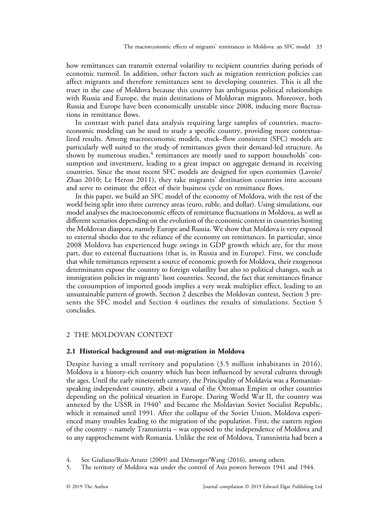<span id="page-2-0"></span>how remittances can transmit external volatility to recipient countries during periods of economic turmoil. In addition, other factors such as migration restriction policies can affect migrants and therefore remittances sent to developing countries. This is all the truer in the case of Moldova because this country has ambiguous political relationships with Russia and Europe, the main destinations of Moldovan migrants. Moreover, both Russia and Europe have been economically unstable since 2008, inducing more fluctuations in remittance flows.

In contrast with panel data analysis requiring large samples of countries, macroeconomic modeling can be used to study a specific country, providing more contextualized results. Among macroeconomic models, stock–flow consistent (SFC) models are particularly well suited to the study of remittances given their demand-led structure. As shown by numerous studies, $4$  remittances are mostly used to support households' consumption and investment, leading to a great impact on aggregate demand in receiving countries. Since the most recent SFC models are designed for open economies ([Lavoie/](#page-18-0) [Zhao 2010; Le Heron 2011\)](#page-18-0), they take migrants' destination countries into account and serve to estimate the effect of their business cycle on remittance flows.

In this paper, we build an SFC model of the economy of Moldova, with the rest of the world being split into three currency areas (euro, ruble, and dollar). Using simulations, our model analyses the macroeconomic effects of remittance fluctuations in Moldova, as well as different scenarios depending on the evolution of the economic context in countries hosting the Moldovan diaspora, namely Europe and Russia. We show that Moldova is very exposed to external shocks due to the reliance of the economy on remittances. In particular, since 2008 Moldova has experienced huge swings in GDP growth which are, for the most part, due to external fluctuations (that is, in Russia and in Europe). First, we conclude that while remittances represent a source of economic growth for Moldova, their exogenous determinants expose the country to foreign volatility but also to political changes, such as immigration policies in migrants' host countries. Second, the fact that remittances finance the consumption of imported goods implies a very weak multiplier effect, leading to an unsustainable pattern of growth. Section 2 describes the Moldovan context, [Section 3](#page-6-0) presents the SFC model and [Section 4](#page-13-0) outlines the results of simulations. [Section 5](#page-16-0) concludes.

# 2 THE MOLDOVAN CONTEXT

## 2.1 Historical background and out-migration in Moldova

Despite having a small territory and population (3.5 million inhabitants in 2016), Moldova is a history-rich country which has been influenced by several cultures through the ages. Until the early nineteenth century, the Principality of Moldavia was a Romanianspeaking independent country, albeit a vassal of the Ottoman Empire or other countries depending on the political situation in Europe. During World War II, the country was annexed by the USSR in 1940<sup>5</sup> and became the Moldavian Soviet Socialist Republic, which it remained until 1991. After the collapse of the Soviet Union, Moldova experienced many troubles leading to the migration of the population. First, the eastern region of the country – namely Transnistria – was opposed to the independence of Moldova and to any rapprochement with Romania. Unlike the rest of Moldova, Transnistria had been a

<sup>4.</sup> See [Giuliano/Ruiz-Arranz \(2009\)](#page-18-0) and [Démurger/Wang \(2016\),](#page-17-0) among others.

<sup>5.</sup> The territory of Moldova was under the control of Axis powers between 1941 and 1944.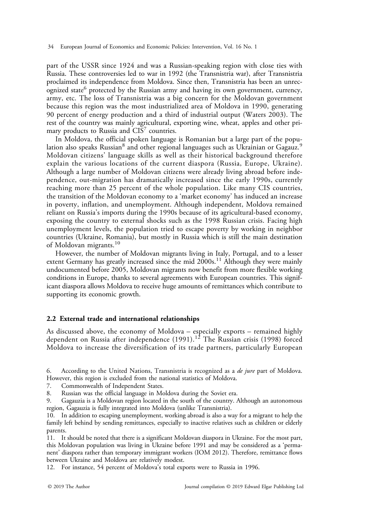part of the USSR since 1924 and was a Russian-speaking region with close ties with Russia. These controversies led to war in 1992 (the Transnistria war), after Transnistria proclaimed its independence from Moldova. Since then, Transnistria has been an unrecognized state<sup>6</sup> protected by the Russian army and having its own government, currency, army, etc. The loss of Transnistria was a big concern for the Moldovan government because this region was the most industrialized area of Moldova in 1990, generating 90 percent of energy production and a third of industrial output ([Waters 2003](#page-18-0)). The rest of the country was mainly agricultural, exporting wine, wheat, apples and other primary products to Russia and CIS<sup>7</sup> countries.

In Moldova, the official spoken language is Romanian but a large part of the population also speaks Russian<sup>8</sup> and other regional languages such as Ukrainian or Gagauz.<sup>9</sup> Moldovan citizens' language skills as well as their historical background therefore explain the various locations of the current diaspora (Russia, Europe, Ukraine). Although a large number of Moldovan citizens were already living abroad before independence, out-migration has dramatically increased since the early 1990s, currently reaching more than 25 percent of the whole population. Like many CIS countries, the transition of the Moldovan economy to a 'market economy' has induced an increase in poverty, inflation, and unemployment. Although independent, Moldova remained reliant on Russia's imports during the 1990s because of its agricultural-based economy, exposing the country to external shocks such as the 1998 Russian crisis. Facing high unemployment levels, the population tried to escape poverty by working in neighbor countries (Ukraine, Romania), but mostly in Russia which is still the main destination of Moldovan migrants.<sup>10</sup>

However, the number of Moldovan migrants living in Italy, Portugal, and to a lesser extent Germany has greatly increased since the mid  $2000s$ .<sup>11</sup> Although they were mainly undocumented before 2005, Moldovan migrants now benefit from more flexible working conditions in Europe, thanks to several agreements with European countries. This significant diaspora allows Moldova to receive huge amounts of remittances which contribute to supporting its economic growth.

# 2.2 External trade and international relationships

As discussed above, the economy of Moldova – especially exports – remained highly dependent on Russia after independence  $(1991).$ <sup>12</sup> The Russian crisis (1998) forced Moldova to increase the diversification of its trade partners, particularly European

6. According to the United Nations, Transnistria is recognized as a *de jure* part of Moldova. However, this region is excluded from the national statistics of Moldova.

7. Commonwealth of Independent States.

8. Russian was the official language in Moldova during the Soviet era.<br>9. Gagauzia is a Moldovan region located in the south of the country. A

Gagauzia is a Moldovan region located in the south of the country. Although an autonomous region, Gagauzia is fully integrated into Moldova (unlike Transnistria).

10. In addition to escaping unemployment, working abroad is also a way for a migrant to help the family left behind by sending remittances, especially to inactive relatives such as children or elderly parents.

11. It should be noted that there is a significant Moldovan diaspora in Ukraine. For the most part, this Moldovan population was living in Ukraine before 1991 and may be considered as a 'permanent' diaspora rather than temporary immigrant workers ([IOM 2012](#page-18-0)). Therefore, remittance flows between Ukraine and Moldova are relatively modest.

12. For instance, 54 percent of Moldova's total exports were to Russia in 1996.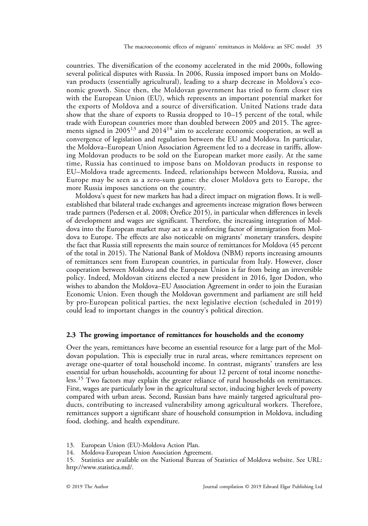countries. The diversification of the economy accelerated in the mid 2000s, following several political disputes with Russia. In 2006, Russia imposed import bans on Moldovan products (essentially agricultural), leading to a sharp decrease in Moldova's economic growth. Since then, the Moldovan government has tried to form closer ties with the European Union (EU), which represents an important potential market for the exports of Moldova and a source of diversification. United Nations trade data show that the share of exports to Russia dropped to 10–15 percent of the total, while trade with European countries more than doubled between 2005 and 2015. The agreements signed in  $2005^{13}$  and  $2014^{14}$  aim to accelerate economic cooperation, as well as convergence of legislation and regulation between the EU and Moldova. In particular, the Moldova–European Union Association Agreement led to a decrease in tariffs, allowing Moldovan products to be sold on the European market more easily. At the same time, Russia has continued to impose bans on Moldovan products in response to EU–Moldova trade agreements. Indeed, relationships between Moldova, Russia, and Europe may be seen as a zero-sum game: the closer Moldova gets to Europe, the more Russia imposes sanctions on the country.

Moldova's quest for new markets has had a direct impact on migration flows. It is wellestablished that bilateral trade exchanges and agreements increase migration flows between trade partners ([Pedersen et al. 2008; Orefice 2015\)](#page-18-0), in particular when differences in levels of development and wages are significant. Therefore, the increasing integration of Moldova into the European market may act as a reinforcing factor of immigration from Moldova to Europe. The effects are also noticeable on migrants' monetary transfers, despite the fact that Russia still represents the main source of remittances for Moldova (45 percent of the total in 2015). The National Bank of Moldova (NBM) reports increasing amounts of remittances sent from European countries, in particular from Italy. However, closer cooperation between Moldova and the European Union is far from being an irreversible policy. Indeed, Moldovan citizens elected a new president in 2016, Igor Dodon, who wishes to abandon the Moldova–EU Association Agreement in order to join the Eurasian Economic Union. Even though the Moldovan government and parliament are still held by pro-European political parties, the next legislative election (scheduled in 2019) could lead to important changes in the country's political direction.

## 2.3 The growing importance of remittances for households and the economy

Over the years, remittances have become an essential resource for a large part of the Moldovan population. This is especially true in rural areas, where remittances represent on average one-quarter of total household income. In contrast, migrants' transfers are less essential for urban households, accounting for about 12 percent of total income nonetheless.<sup>15</sup> Two factors may explain the greater reliance of rural households on remittances. First, wages are particularly low in the agricultural sector, inducing higher levels of poverty compared with urban areas. Second, Russian bans have mainly targeted agricultural products, contributing to increased vulnerability among agricultural workers. Therefore, remittances support a significant share of household consumption in Moldova, including food, clothing, and health expenditure.

13. European Union (EU)-Moldova Action Plan.

14. Moldova-European Union Association Agreement.

15. Statistics are available on the National Bureau of Statistics of Moldova website. See URL: <http://www.statistica.md/>.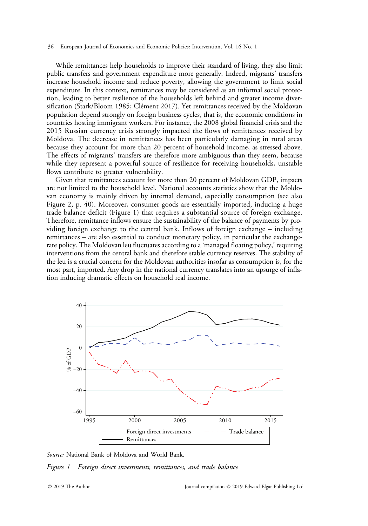<span id="page-5-0"></span>While remittances help households to improve their standard of living, they also limit public transfers and government expenditure more generally. Indeed, migrants' transfers increase household income and reduce poverty, allowing the government to limit social expenditure. In this context, remittances may be considered as an informal social protection, leading to better resilience of the households left behind and greater income diversification ([Stark/Bloom 1985](#page-18-0); [Clément 2017](#page-17-0)). Yet remittances received by the Moldovan population depend strongly on foreign business cycles, that is, the economic conditions in countries hosting immigrant workers. For instance, the 2008 global financial crisis and the 2015 Russian currency crisis strongly impacted the flows of remittances received by Moldova. The decrease in remittances has been particularly damaging in rural areas because they account for more than 20 percent of household income, as stressed above. The effects of migrants' transfers are therefore more ambiguous than they seem, because while they represent a powerful source of resilience for receiving households, unstable flows contribute to greater vulnerability.

Given that remittances account for more than 20 percent of Moldovan GDP, impacts are not limited to the household level. National accounts statistics show that the Moldovan economy is mainly driven by internal demand, especially consumption (see also [Figure 2,](#page-9-0) p. 40). Moreover, consumer goods are essentially imported, inducing a huge trade balance deficit (Figure 1) that requires a substantial source of foreign exchange. Therefore, remittance inflows ensure the sustainability of the balance of payments by providing foreign exchange to the central bank. Inflows of foreign exchange – including remittances – are also essential to conduct monetary policy, in particular the exchangerate policy. The Moldovan leu fluctuates according to a'managed floating policy,' requiring interventions from the central bank and therefore stable currency reserves. The stability of the leu is a crucial concern for the Moldovan authorities insofar as consumption is, for the most part, imported. Any drop in the national currency translates into an upsurge of inflation inducing dramatic effects on household real income.



Source: National Bank of Moldova and World Bank.

Figure 1 Foreign direct investments, remittances, and trade balance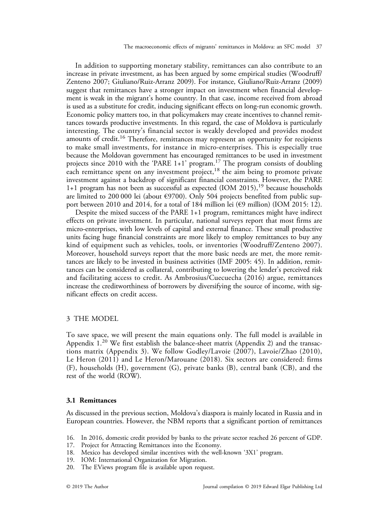<span id="page-6-0"></span>In addition to supporting monetary stability, remittances can also contribute to an increase in private investment, as has been argued by some empirical studies ([Woodruff/](#page-18-0) [Zenteno 2007; Giuliano/Ruiz-Arranz 2009](#page-18-0)). For instance, [Giuliano/Ruiz-Arranz \(2009\)](#page-18-0) suggest that remittances have a stronger impact on investment when financial development is weak in the migrant's home country. In that case, income received from abroad is used as a substitute for credit, inducing significant effects on long-run economic growth. Economic policy matters too, in that policymakers may create incentives to channel remittances towards productive investments. In this regard, the case of Moldova is particularly interesting. The country's financial sector is weakly developed and provides modest amounts of credit.<sup>16</sup> Therefore, remittances may represent an opportunity for recipients to make small investments, for instance in micro-enterprises. This is especially true because the Moldovan government has encouraged remittances to be used in investment projects since 2010 with the 'PARE 1+1' program.<sup>17</sup> The program consists of doubling each remittance spent on any investment project,  $18$  the aim being to promote private investment against a backdrop of significant financial constraints. However, the PARE 1+1 program has not been as successful as expected [\(IOM 2015\)](#page-18-0),<sup>19</sup> because households are limited to 200 000 lei (about €9700). Only 504 projects benefited from public support between 2010 and 2014, for a total of 184 million lei ( $\epsilon$ 9 million) [\(IOM 2015](#page-18-0): 12).

Despite the mixed success of the PARE 1+1 program, remittances might have indirect effects on private investment. In particular, national surveys report that most firms are micro-enterprises, with low levels of capital and external finance. These small productive units facing huge financial constraints are more likely to employ remittances to buy any kind of equipment such as vehicles, tools, or inventories ([Woodruff/Zenteno 2007](#page-18-0)). Moreover, household surveys report that the more basic needs are met, the more remittances are likely to be invested in business activities [\(IMF 2005](#page-18-0): 45). In addition, remittances can be considered as collateral, contributing to lowering the lender's perceived risk and facilitating access to credit. As [Ambrosius/Cuecuecha \(2016\)](#page-17-0) argue, remittances increase the creditworthiness of borrowers by diversifying the source of income, with significant effects on credit access.

# 3 THE MODEL

To save space, we will present the main equations only. The full model is available in Appendix  $1.^{20}$  We first establish the balance-sheet matrix ([Appendix 2](#page-21-0)) and the transactions matrix ([Appendix 3](#page-22-0)). We follow [Godley/Lavoie \(2007\), Lavoie/Zhao \(2010\),](#page-18-0) [Le Heron \(2011\)](#page-18-0) and [Le Heron/Marouane \(2018\).](#page-18-0) Six sectors are considered: firms (F), households (H), government (G), private banks (B), central bank (CB), and the rest of the world (ROW).

# 3.1 Remittances

As discussed in the previous section, Moldova's diaspora is mainly located in Russia and in European countries. However, the NBM reports that a significant portion of remittances

- 16. In 2016, domestic credit provided by banks to the private sector reached 26 percent of GDP.
- 17. Project for Attracting Remittances into the Economy.
- 18. Mexico has developed similar incentives with the well-known '3X1' program.
- 19. IOM: International Organization for Migration.
- 20. The EViews program file is available upon request.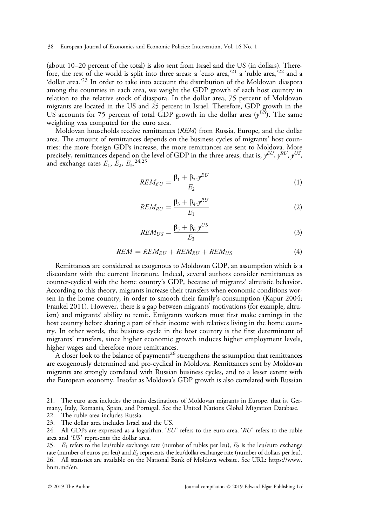(about 10–20 percent of the total) is also sent from Israel and the US (in dollars). Therefore, the rest of the world is split into three areas: a 'euro area,'<sup>21</sup> a 'ruble area,'<sup>22</sup> and a 'dollar area.<sup>223</sup> In order to take into account the distribution of the Moldovan diaspora among the countries in each area, we weight the GDP growth of each host country in relation to the relative stock of diaspora. In the dollar area, 75 percent of Moldovan migrants are located in the US and 25 percent in Israel. Therefore, GDP growth in the US accounts for 75 percent of total GDP growth in the dollar area  $(y^{US})$ . The same weighting was computed for the euro area.

Moldovan households receive remittances (REM) from Russia, Europe, and the dollar area. The amount of remittances depends on the business cycles of migrants' host countries: the more foreign GDPs increase, the more remittances are sent to Moldova. More precisely, remittances depend on the level of GDP in the three areas, that is,  $y^{EU}, y^{RU}, y^{US},$ and exchange rates  $E_1$ ,  $E_2$ ,  $E_3$ ,  $24,25$ 

$$
REM_{EU} = \frac{\beta_1 + \beta_2 \cdot y^{EU}}{E_2} \tag{1}
$$

$$
REM_{RU} = \frac{\beta_3 + \beta_4 \cdot y^{RU}}{E_1} \tag{2}
$$

$$
REM_{US} = \frac{\beta_5 + \beta_6 \cdot y^{US}}{E_3} \tag{3}
$$

$$
REM = REM_{EU} + REM_{RU} + REM_{US}
$$
 (4)

Remittances are considered as exogenous to Moldovan GDP, an assumption which is a discordant with the current literature. Indeed, several authors consider remittances as counter-cyclical with the home country's GDP, because of migrants' altruistic behavior. According to this theory, migrants increase their transfers when economic conditions worsen in the home country, in order to smooth their family's consumption ([Kapur 2004;](#page-18-0) [Frankel 2011\)](#page-17-0). However, there is a gap between migrants' motivations (for example, altruism) and migrants' ability to remit. Emigrants workers must first make earnings in the host country before sharing a part of their income with relatives living in the home country. In other words, the business cycle in the host country is the first determinant of migrants' transfers, since higher economic growth induces higher employment levels, higher wages and therefore more remittances.

A closer look to the balance of payments<sup>26</sup> strengthens the assumption that remittances are exogenously determined and pro-cyclical in Moldova. Remittances sent by Moldovan migrants are strongly correlated with Russian business cycles, and to a lesser extent with the European economy. Insofar as Moldova's GDP growth is also correlated with Russian

21. The euro area includes the main destinations of Moldovan migrants in Europe, that is, Germany, Italy, Romania, Spain, and Portugal. See the United Nations Global Migration Database. 22. The ruble area includes Russia.

23. The dollar area includes Israel and the US.

24. All GDPs are expressed as a logarithm. ' $EU$ ' refers to the euro area, ' $RU$ ' refers to the ruble area and 'US' represents the dollar area.

<sup>25.</sup>  $E_1$  refers to the leu/ruble exchange rate (number of rubles per leu),  $E_2$  is the leu/euro exchange rate (number of euros per leu) and  $E_3$  represents the leu/dollar exchange rate (number of dollars per leu). 26. All statistics are available on the National Bank of Moldova website. See URL: [https://www.](https://www.bnm.md/en) [bnm.md/en](https://www.bnm.md/en).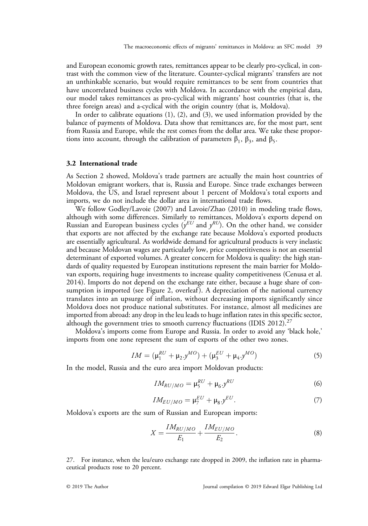and European economic growth rates, remittances appear to be clearly pro-cyclical, in contrast with the common view of the literature. Counter-cyclical migrants' transfers are not an unthinkable scenario, but would require remittances to be sent from countries that have uncorrelated business cycles with Moldova. In accordance with the empirical data, our model takes remittances as pro-cyclical with migrants' host countries (that is, the three foreign areas) and a-cyclical with the origin country (that is, Moldova).

In order to calibrate equations (1), (2), and (3), we used information provided by the balance of payments of Moldova. Data show that remittances are, for the most part, sent from Russia and Europe, while the rest comes from the dollar area. We take these proportions into account, through the calibration of parameters  $β_1$ ,  $β_3$ , and  $β_5$ .

## 3.2 International trade

As [Section 2](#page-2-0) showed, Moldova's trade partners are actually the main host countries of Moldovan emigrant workers, that is, Russia and Europe. Since trade exchanges between Moldova, the US, and Israel represent about 1 percent of Moldova's total exports and imports, we do not include the dollar area in international trade flows.

We follow [Godley/Lavoie \(2007\)](#page-18-0) and [Lavoie/Zhao \(2010\)](#page-18-0) in modeling trade flows, although with some differences. Similarly to remittances, Moldova's exports depend on Russian and European business cycles  $(y^{EU}$  and  $y^{RU}$ ). On the other hand, we consider that exports are not affected by the exchange rate because Moldova's exported products are essentially agricultural. As worldwide demand for agricultural products is very inelastic and because Moldovan wages are particularly low, price competitiveness is not an essential determinant of exported volumes. A greater concern for Moldova is quality: the high standards of quality requested by European institutions represent the main barrier for Moldovan exports, requiring huge investments to increase quality competitiveness ([Cenusa et al.](#page-17-0) [2014\)](#page-17-0). Imports do not depend on the exchange rate either, because a huge share of con-sumption is imported (see [Figure 2](#page-9-0), overleaf). A depreciation of the national currency translates into an upsurge of inflation, without decreasing imports significantly since Moldova does not produce national substitutes. For instance, almost all medicines are imported from abroad: any drop in the leu leads to huge inflation rates in this specific sector, although the government tries to smooth currency fluctuations [\(IDIS 2012\)](#page-18-0).<sup>27</sup>

Moldova's imports come from Europe and Russia. In order to avoid any 'black hole,' imports from one zone represent the sum of exports of the other two zones.

$$
IM = (\mu_1^{RU} + \mu_2 \cdot y^{MO}) + (\mu_3^{EU} + \mu_4 \cdot y^{MO})
$$
\n(5)

In the model, Russia and the euro area import Moldovan products:

$$
IM_{RU/MO} = \mu_5^{RU} + \mu_6 y^{RU}
$$
 (6)

$$
IM_{EU/MO} = \mu_7^{EU} + \mu_8 y^{EU}.
$$
 (7)

Moldova's exports are the sum of Russian and European imports:

$$
X = \frac{IM_{RU/MO}}{E_1} + \frac{IM_{EU/MO}}{E_2}.
$$
 (8)

27. For instance, when the leu/euro exchange rate dropped in 2009, the inflation rate in pharmaceutical products rose to 20 percent.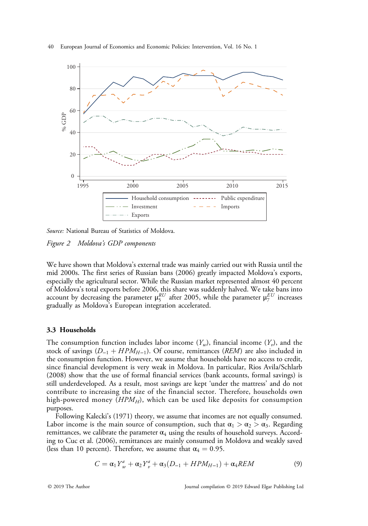<span id="page-9-0"></span>



Source: National Bureau of Statistics of Moldova.

Figure 2 Moldova's GDP components

We have shown that Moldova's external trade was mainly carried out with Russia until the mid 2000s. The first series of Russian bans (2006) greatly impacted Moldova's exports, especially the agricultural sector. While the Russian market represented almost 40 percent of Moldova's total exports before 2006, this share was suddenly halved. We take bans into account by decreasing the parameter  $\mu_5^{RU}$  after 2005, while the parameter  $\mu_7^{EU}$  increases gradually as Moldova's European integration accelerated.

# 3.3 Households

The consumption function includes labor income  $(Y_w)$ , financial income  $(Y_v)$ , and the stock of savings ( $D_{-1}$  +  $HPM_{H-1}$ ). Of course, remittances (REM) are also included in the consumption function. However, we assume that households have no access to credit, since financial development is very weak in Moldova. In particular, [Rios Avila/Schlarb](#page-18-0) [\(2008\)](#page-18-0) show that the use of formal financial services (bank accounts, formal savings) is still underdeveloped. As a result, most savings are kept 'under the mattress' and do not contribute to increasing the size of the financial sector. Therefore, households own high-powered money  $(HPM_H)$ , which can be used like deposits for consumption purposes.

Following Kalecki'[s \(1971\)](#page-18-0) theory, we assume that incomes are not equally consumed. Labor income is the main source of consumption, such that  $\alpha_1 > \alpha_2 > \alpha_3$ . Regarding remittances, we calibrate the parameter  $\alpha_4$  using the results of household surveys. According to [Cuc et al. \(2006\),](#page-17-0) remittances are mainly consumed in Moldova and weakly saved (less than 10 percent). Therefore, we assume that  $\alpha_4 = 0.95$ .

$$
C = \alpha_1 Y_w^a + \alpha_2 Y_v^a + \alpha_3 (D_{-1} + HPM_{H-1}) + \alpha_4 REM \tag{9}
$$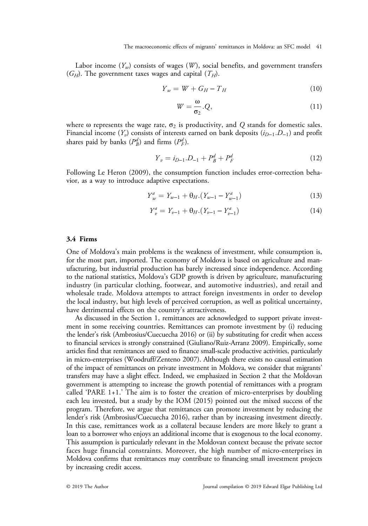Labor income  $(Y_w)$  consists of wages  $(W)$ , social benefits, and government transfers  $(G_H)$ . The government taxes wages and capital  $(T_H)$ .

$$
Y_w = W + G_H - T_H \tag{10}
$$

$$
W = \frac{\omega}{\sigma_2} . Q, \tag{11}
$$

where  $\omega$  represents the wage rate,  $\sigma_2$  is productivity, and Q stands for domestic sales. Financial income  $(Y_v)$  consists of interests earned on bank deposits  $(i_{D-1}.D_{-1})$  and profit shares paid by banks  $(P_B^d)$  and firms  $(P_F^d)$ .

$$
Y_v = i_{D-1} \cdot D_{-1} + P_B^d + P_F^d \tag{12}
$$

Following [Le Heron \(2009\)](#page-18-0), the consumption function includes error-correction behavior, as a way to introduce adaptive expectations.

$$
Y_w^a = Y_{w-1} + \theta_H \cdot (Y_{w-1} - Y_{w-1}^a)
$$
\n(13)

$$
Y_v^a = Y_{v-1} + \theta_H \cdot (Y_{v-1} - Y_{v-1}^a)
$$
\n(14)

## 3.4 Firms

One of Moldova's main problems is the weakness of investment, while consumption is, for the most part, imported. The economy of Moldova is based on agriculture and manufacturing, but industrial production has barely increased since independence. According to the national statistics, Moldova's GDP growth is driven by agriculture, manufacturing industry (in particular clothing, footwear, and automotive industries), and retail and wholesale trade. Moldova attempts to attract foreign investments in order to develop the local industry, but high levels of perceived corruption, as well as political uncertainty, have detrimental effects on the country's attractiveness.

As discussed in the [Section 1,](#page-0-0) remittances are acknowledged to support private investment in some receiving countries. Remittances can promote investment by (i) reducing the lender's risk [\(Ambrosius/Cuecuecha 2016\)](#page-17-0) or (ii) by substituting for credit when access to financial services is strongly constrained [\(Giuliano/Ruiz-Arranz 2009\)](#page-18-0). Empirically, some articles find that remittances are used to finance small-scale productive activities, particularly in micro-enterprises ([Woodruff/Zenteno 2007](#page-18-0)). Although there exists no causal estimation of the impact of remittances on private investment in Moldova, we consider that migrants' transfers may have a slight effect. Indeed, we emphasized in [Section 2](#page-2-0) that the Moldovan government is attempting to increase the growth potential of remittances with a program called 'PARE 1+1.' The aim is to foster the creation of micro-enterprises by doubling each leu invested, but a study by the [IOM \(2015\)](#page-18-0) pointed out the mixed success of the program. Therefore, we argue that remittances can promote investment by reducing the lender's risk [\(Ambrosius/Cuecuecha 2016](#page-17-0)), rather than by increasing investment directly. In this case, remittances work as a collateral because lenders are more likely to grant a loan to a borrower who enjoys an additional income that is exogenous to the local economy. This assumption is particularly relevant in the Moldovan context because the private sector faces huge financial constraints. Moreover, the high number of micro-enterprises in Moldova confirms that remittances may contribute to financing small investment projects by increasing credit access.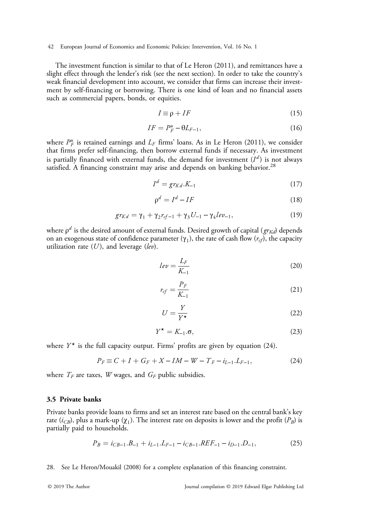The investment function is similar to that of [Le Heron \(2011\)](#page-18-0), and remittances have a slight effect through the lender's risk (see the next section). In order to take the country's weak financial development into account, we consider that firms can increase their investment by self-financing or borrowing. There is one kind of loan and no financial assets such as commercial papers, bonds, or equities.

$$
I \equiv \rho + IF \tag{15}
$$

$$
IF = P_F^u - \Theta L_{F-1},\tag{16}
$$

where  $P_F^u$  is retained earnings and  $L_F$  firms' loans. As in [Le Heron \(2011\),](#page-18-0) we consider that firms prefer self-financing, then borrow external funds if necessary. As investment is partially financed with external funds, the demand for investment  $(I^d)$  is not always satisfied. A financing constraint may arise and depends on banking behavior.<sup>28</sup>

$$
I^d = gr_{Kd} . K_{-1} \tag{17}
$$

$$
\rho^d = I^d - IF \tag{18}
$$

$$
gr_{Kd} = \gamma_1 + \gamma_2 r_{cf-1} + \gamma_3 U_{-1} - \gamma_4 lev_{-1}, \qquad (19)
$$

where  $\rho^d$  is the desired amount of external funds. Desired growth of capital ( $gr_{Kd}$ ) depends on an exogenous state of confidence parameter  $(\gamma_1)$ , the rate of cash flow  $(r_{cf})$ , the capacity utilization rate  $(U)$ , and leverage  $(lev)$ .

$$
lev = \frac{L_F}{K_{-1}}\tag{20}
$$

$$
r_{cf} = \frac{P_F}{K_{-1}}\tag{21}
$$

$$
U = \frac{Y}{Y^{\star}}
$$
 (22)

$$
Y^{\star} = K_{-1}.\sigma,\tag{23}
$$

where  $Y^*$  is the full capacity output. Firms' profits are given by equation (24).

$$
P_F \equiv C + I + G_F + X - IM - W - T_F - i_{L-1}.L_{F-1},\tag{24}
$$

where  $T_F$  are taxes, W wages, and  $G_F$  public subsidies.

## 3.5 Private banks

Private banks provide loans to firms and set an interest rate based on the central bank's key rate ( $i_{CB}$ ), plus a mark-up ( $\chi_1$ ). The interest rate on deposits is lower and the profit ( $P_B$ ) is partially paid to households.

$$
P_B = i_{CB-1}.B_{-1} + i_{L-1}.L_{F-1} - i_{CB-1}.REF_{-1} - i_{D-1}.D_{-1},\tag{25}
$$

28. See [Le Heron/Mouakil \(2008\)](#page-18-0) for a complete explanation of this financing constraint.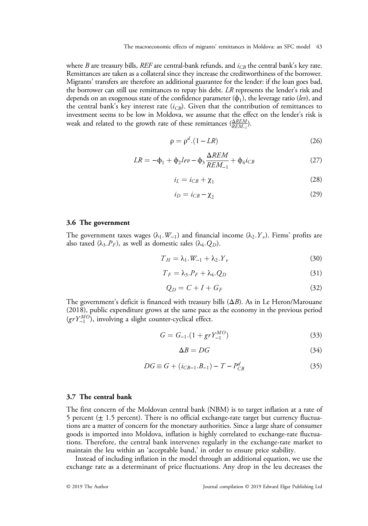where B are treasury bills, REF are central-bank refunds, and  $i_{CB}$  the central bank's key rate. Remittances are taken as a collateral since they increase the creditworthiness of the borrower. Migrants' transfers are therefore an additional guarantee for the lender: if the loan goes bad, the borrower can still use remittances to repay his debt. LR represents the lender's risk and depends on an exogenous state of the confidence parameter  $(\phi_1)$ , the leverage ratio (lev), and the central bank's key interest rate  $(i_{CB})$ . Given that the contribution of remittances to investment seems to be low in Moldova, we assume that the effect on the lender's risk is weak and related to the growth rate of these remittances  $\frac{\Delta REM}{REM_{-1}}$ ).

$$
\rho = \rho^d \cdot (1 - LR) \tag{26}
$$

$$
LR = -\Phi_1 + \Phi_2 \, lev - \Phi_3 \frac{\Delta REM}{REM_{-1}} + \Phi_4 \, i_{CB} \tag{27}
$$

$$
i_L = i_{CB} + \chi_1 \tag{28}
$$

$$
i_D = i_{CB} - \chi_2 \tag{29}
$$

## 3.6 The government

The government taxes wages ( $\lambda_1$ :W−1) and financial income ( $\lambda_2$ :Y<sub>v</sub>). Firms' profits are also taxed ( $\lambda_3.P_F$ ), as well as domestic sales ( $\lambda_4.Q_D$ ).

$$
T_H = \lambda_1.W_{-1} + \lambda_2.Y_v \tag{30}
$$

$$
T_F = \lambda_3.P_F + \lambda_4.Q_D \tag{31}
$$

$$
Q_D = C + I + G_F \tag{32}
$$

The government's deficit is financed with treasury bills  $(\Delta B)$ . As in [Le Heron/Marouane](#page-18-0) [\(2018\)](#page-18-0), public expenditure grows at the same pace as the economy in the previous period  $(grY_{-1}^{MO})$ , involving a slight counter-cyclical effect.

$$
G = G_{-1}.(1 + grY_{-1}^{MO})
$$
\n(33)

$$
\Delta B = DG \tag{34}
$$

$$
DG \equiv G + (i_{CB-1}.B_{-1}) - T - P_{CB}^d \tag{35}
$$

## 3.7 The central bank

The first concern of the Moldovan central bank (NBM) is to target inflation at a rate of 5 percent  $(\pm 1.5$  percent). There is no official exchange-rate target but currency fluctuations are a matter of concern for the monetary authorities. Since a large share of consumer goods is imported into Moldova, inflation is highly correlated to exchange-rate fluctuations. Therefore, the central bank intervenes regularly in the exchange-rate market to maintain the leu within an 'acceptable band,' in order to ensure price stability.

Instead of including inflation in the model through an additional equation, we use the exchange rate as a determinant of price fluctuations. Any drop in the leu decreases the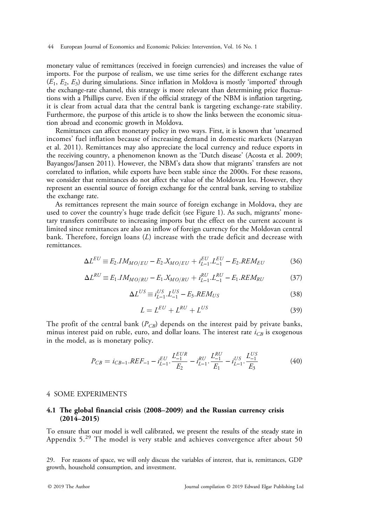<span id="page-13-0"></span>monetary value of remittances (received in foreign currencies) and increases the value of imports. For the purpose of realism, we use time series for the different exchange rates  $(E_1, E_2, E_3)$  during simulations. Since inflation in Moldova is mostly 'imported' through the exchange-rate channel, this strategy is more relevant than determining price fluctuations with a Phillips curve. Even if the official strategy of the NBM is inflation targeting, it is clear from actual data that the central bank is targeting exchange-rate stability. Furthermore, the purpose of this article is to show the links between the economic situation abroad and economic growth in Moldova.

Remittances can affect monetary policy in two ways. First, it is known that 'unearned incomes' fuel inflation because of increasing demand in domestic markets [\(Narayan](#page-18-0) [et al. 2011\)](#page-18-0). Remittances may also appreciate the local currency and reduce exports in the receiving country, a phenomenon known as the 'Dutch disease' [\(Acosta et al. 2009](#page-17-0); [Bayangos/Jansen 2011](#page-17-0)). However, the NBM's data show that migrants' transfers are not correlated to inflation, while exports have been stable since the 2000s. For these reasons, we consider that remittances do not affect the value of the Moldovan leu. However, they represent an essential source of foreign exchange for the central bank, serving to stabilize the exchange rate.

As remittances represent the main source of foreign exchange in Moldova, they are used to cover the country's huge trade deficit (see [Figure 1](#page-5-0)). As such, migrants' monetary transfers contribute to increasing imports but the effect on the current account is limited since remittances are also an inflow of foreign currency for the Moldovan central bank. Therefore, foreign loans (L) increase with the trade deficit and decrease with remittances.

$$
\Delta L^{EU} \equiv E_2. IM_{MO/EU} - E_2. X_{MO/EU} + i_{L-1}^{EU} L_{-1}^{EU} - E_2. REM_{EU}
$$
 (36)

$$
\Delta L^{RU} \equiv E_1. IM_{MO/RU} - E_1. X_{MO/RU} + i_{L-1}^{RU} . L_{-1}^{RU} - E_1. REM_{RU}
$$
 (37)

$$
\Delta L^{US} \equiv i_{L-1}^{US} L_{-1}^{US} - E_3. REM_{US}
$$
\n
$$
(38)
$$

$$
L = L^{EU} + L^{RU} + L^{US}
$$
\n<sup>(39)</sup>

The profit of the central bank  $(P_{CB})$  depends on the interest paid by private banks, minus interest paid on ruble, euro, and dollar loans. The interest rate  $i_{CB}$  is exogenous in the model, as is monetary policy.

$$
P_{CB} = i_{CB-1}.REF_{-1} - i_{L-1}^{EU} \cdot \frac{L_{-1}^{EUR}}{E_2} - i_{L-1}^{RU} \cdot \frac{L_{-1}^{RU}}{E_1} - i_{L-1}^{US} \cdot \frac{L_{-1}^{US}}{E_3}
$$
(40)

## 4 SOME EXPERIMENTS

## 4.1 The global financial crisis (2008–2009) and the Russian currency crisis (2014–2015)

To ensure that our model is well calibrated, we present the results of the steady state in [Appendix 5](#page-23-0).<sup>29</sup> The model is very stable and achieves convergence after about 50

29. For reasons of space, we will only discuss the variables of interest, that is, remittances, GDP growth, household consumption, and investment.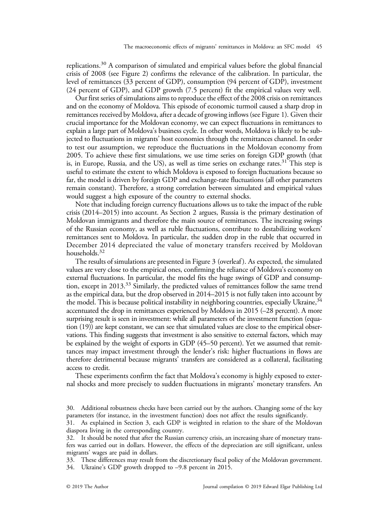replications.<sup>30</sup> A comparison of simulated and empirical values before the global financial crisis of 2008 (see [Figure 2\)](#page-9-0) confirms the relevance of the calibration. In particular, the level of remittances (33 percent of GDP), consumption (94 percent of GDP), investment (24 percent of GDP), and GDP growth (7.5 percent) fit the empirical values very well.

Our first series of simulations aims to reproduce the effect of the 2008 crisis on remittances and on the economy of Moldova. This episode of economic turmoil caused a sharp drop in remittances received by Moldova, after a decade of growing inflows (see [Figure 1\)](#page-5-0). Given their crucial importance for the Moldovan economy, we can expect fluctuations in remittances to explain a large part of Moldova's business cycle. In other words, Moldova is likely to be subjected to fluctuations in migrants' host economies through the remittances channel. In order to test our assumption, we reproduce the fluctuations in the Moldovan economy from 2005. To achieve these first simulations, we use time series on foreign GDP growth (that is, in Europe, Russia, and the US), as well as time series on exchange rates.<sup>31</sup> This step is useful to estimate the extent to which Moldova is exposed to foreign fluctuations because so far, the model is driven by foreign GDP and exchange-rate fluctuations (all other parameters remain constant). Therefore, a strong correlation between simulated and empirical values would suggest a high exposure of the country to external shocks.

Note that including foreign currency fluctuations allows us to take the impact of the ruble crisis (2014–2015) into account. As [Section 2](#page-2-0) argues, Russia is the primary destination of Moldovan immigrants and therefore the main source of remittances. The increasing swings of the Russian economy, as well as ruble fluctuations, contribute to destabilizing workers' remittances sent to Moldova. In particular, the sudden drop in the ruble that occurred in December 2014 depreciated the value of monetary transfers received by Moldovan households.32

The results of simulations are presented in [Figure 3](#page-15-0) (overleaf ). As expected, the simulated values are very close to the empirical ones, confirming the reliance of Moldova's economy on external fluctuations. In particular, the model fits the huge swings of GDP and consumption, except in 2013.33 Similarly, the predicted values of remittances follow the same trend as the empirical data, but the drop observed in 2014–2015 is not fully taken into account by the model. This is because political instability in neighboring countries, especially Ukraine,  $34$ accentuated the drop in remittances experienced by Moldova in 2015 (–28 percent). A more surprising result is seen in investment: while all parameters of the investment function (equation (19)) are kept constant, we can see that simulated values are close to the empirical observations. This finding suggests that investment is also sensitive to external factors, which may be explained by the weight of exports in GDP (45–50 percent). Yet we assumed that remittances may impact investment through the lender's risk: higher fluctuations in flows are therefore detrimental because migrants' transfers are considered as a collateral, facilitating access to credit.

These experiments confirm the fact that Moldova's economy is highly exposed to external shocks and more precisely to sudden fluctuations in migrants' monetary transfers. An

33. These differences may result from the discretionary fiscal policy of the Moldovan government.

<sup>30.</sup> Additional robustness checks have been carried out by the authors. Changing some of the key parameters (for instance, in the investment function) does not affect the results significantly.

<sup>31.</sup> As explained in [Section 3,](#page-6-0) each GDP is weighted in relation to the share of the Moldovan diaspora living in the corresponding country.

<sup>32.</sup> It should be noted that after the Russian currency crisis, an increasing share of monetary transfers was carried out in dollars. However, the effects of the depreciation are still significant, unless migrants' wages are paid in dollars.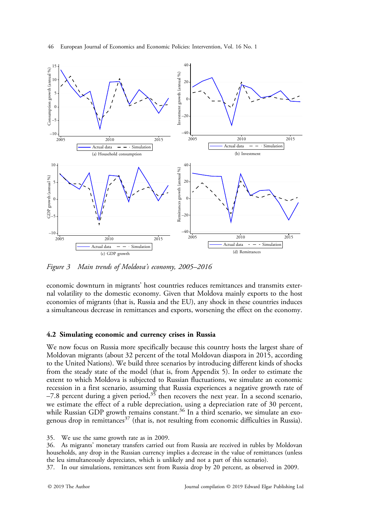<span id="page-15-0"></span>



Figure 3 Main trends of Moldova's economy, 2005–2016

economic downturn in migrants' host countries reduces remittances and transmits external volatility to the domestic economy. Given that Moldova mainly exports to the host economies of migrants (that is, Russia and the EU), any shock in these countries induces a simultaneous decrease in remittances and exports, worsening the effect on the economy.

## 4.2 Simulating economic and currency crises in Russia

We now focus on Russia more specifically because this country hosts the largest share of Moldovan migrants (about 32 percent of the total Moldovan diaspora in 2015, according to the United Nations). We build three scenarios by introducing different kinds of shocks from the steady state of the model (that is, from [Appendix 5\)](#page-23-0). In order to estimate the extent to which Moldova is subjected to Russian fluctuations, we simulate an economic recession in a first scenario, assuming that Russia experiences a negative growth rate of  $-7.8$  percent during a given period,<sup>35</sup> then recovers the next year. In a second scenario, we estimate the effect of a ruble depreciation, using a depreciation rate of 30 percent, while Russian GDP growth remains constant.<sup>36</sup> In a third scenario, we simulate an exogenous drop in remittances<sup>37</sup> (that is, not resulting from economic difficulties in Russia).

35. We use the same growth rate as in 2009.

36. As migrants' monetary transfers carried out from Russia are received in rubles by Moldovan households, any drop in the Russian currency implies a decrease in the value of remittances (unless the leu simultaneously depreciates, which is unlikely and not a part of this scenario).

37. In our simulations, remittances sent from Russia drop by 20 percent, as observed in 2009.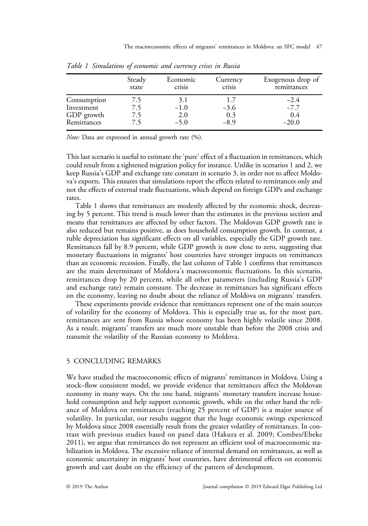|             | Steady | Economic | Currency | Exogenous drop of |
|-------------|--------|----------|----------|-------------------|
|             | state  | crisis   | crisis   | remittances       |
| Consumption | 7.5    | 3.1      | 1.7      | $-2.4$            |
| Investment  | 7.5    | $-1.0$   | $-3.6$   | $-7.7$            |
| GDP growth  | 7.5    | 2.0      | 0.3      | 0.4               |
| Remittances | 7.5    | $-5.0$   | $-8.9$   | $-20.0$           |

<span id="page-16-0"></span>Table 1 Simulations of economic and currency crises in Russia

Note: Data are expressed in annual growth rate  $(%)$ .

This last scenario is useful to estimate the 'pure' effect of a fluctuation in remittances, which could result from a tightened migration policy for instance. Unlike in scenarios 1 and 2, we keep Russia's GDP and exchange rate constant in scenario 3, in order not to affect Moldova's exports. This ensures that simulations report the effects related to remittances only and not the effects of external trade fluctuations, which depend on foreign GDPs and exchange rates.

Table 1 shows that remittances are modestly affected by the economic shock, decreasing by 5 percent. This trend is much lower than the estimates in the previous section and means that remittances are affected by other factors. The Moldovan GDP growth rate is also reduced but remains positive, as does household consumption growth. In contrast, a ruble depreciation has significant effects on all variables, especially the GDP growth rate. Remittances fall by 8.9 percent, while GDP growth is now close to zero, suggesting that monetary fluctuations in migrants' host countries have stronger impacts on remittances than an economic recession. Finally, the last column of Table 1 confirms that remittances are the main determinant of Moldova's macroeconomic fluctuations. In this scenario, remittances drop by 20 percent, while all other parameters (including Russia's GDP and exchange rate) remain constant. The decrease in remittances has significant effects on the economy, leaving no doubt about the reliance of Moldova on migrants' transfers.

These experiments provide evidence that remittances represent one of the main sources of volatility for the economy of Moldova. This is especially true as, for the most part, remittances are sent from Russia whose economy has been highly volatile since 2008. As a result, migrants' transfers are much more unstable than before the 2008 crisis and transmit the volatility of the Russian economy to Moldova.

# 5 CONCLUDING REMARKS

We have studied the macroeconomic effects of migrants' remittances in Moldova. Using a stock–flow consistent model, we provide evidence that remittances affect the Moldovan economy in many ways. On the one hand, migrants' monetary transfers increase household consumption and help support economic growth, while on the other hand the reliance of Moldova on remittances (reaching 25 percent of GDP) is a major source of volatility. In particular, our results suggest that the huge economic swings experienced by Moldova since 2008 essentially result from the greater volatility of remittances. In contrast with previous studies based on panel data [\(Hakura et al. 2009](#page-18-0); [Combes/Ebeke](#page-17-0) [2011\)](#page-17-0), we argue that remittances do not represent an efficient tool of macroeconomic stabilization in Moldova. The excessive reliance of internal demand on remittances, as well as economic uncertainty in migrants' host countries, have detrimental effects on economic growth and cast doubt on the efficiency of the pattern of development.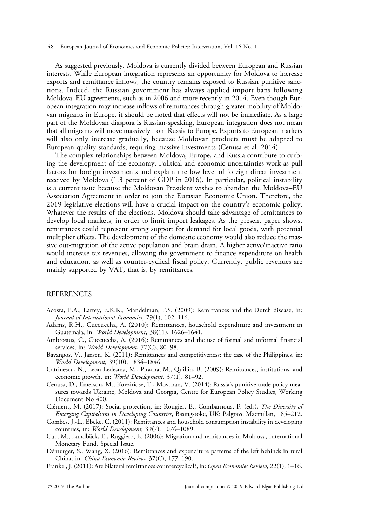<span id="page-17-0"></span>As suggested previously, Moldova is currently divided between European and Russian interests. While European integration represents an opportunity for Moldova to increase exports and remittance inflows, the country remains exposed to Russian punitive sanctions. Indeed, the Russian government has always applied import bans following Moldova–EU agreements, such as in 2006 and more recently in 2014. Even though European integration may increase inflows of remittances through greater mobility of Moldovan migrants in Europe, it should be noted that effects will not be immediate. As a large part of the Moldovan diaspora is Russian-speaking, European integration does not mean that all migrants will move massively from Russia to Europe. Exports to European markets will also only increase gradually, because Moldovan products must be adapted to European quality standards, requiring massive investments (Cenusa et al. 2014).

The complex relationships between Moldova, Europe, and Russia contribute to curbing the development of the economy. Political and economic uncertainties work as pull factors for foreign investments and explain the low level of foreign direct investment received by Moldova (1.3 percent of GDP in 2016). In particular, political instability is a current issue because the Moldovan President wishes to abandon the Moldova–EU Association Agreement in order to join the Eurasian Economic Union. Therefore, the 2019 legislative elections will have a crucial impact on the country's economic policy. Whatever the results of the elections, Moldova should take advantage of remittances to develop local markets, in order to limit import leakages. As the present paper shows, remittances could represent strong support for demand for local goods, with potential multiplier effects. The development of the domestic economy would also reduce the massive out-migration of the active population and brain drain. A higher active/inactive ratio would increase tax revenues, allowing the government to finance expenditure on health and education, as well as counter-cyclical fiscal policy. Currently, public revenues are mainly supported by VAT, that is, by remittances.

## REFERENCES

- Acosta, P.A., Lartey, E.K.K., Mandelman, F.S. (2009): Remittances and the Dutch disease, in: Journal of International Economics, 79(1), 102–116.
- Adams, R.H., Cuecuecha, A. (2010): Remittances, household expenditure and investment in Guatemala, in: World Development, 38(11), 1626–1641.
- Ambrosius, C., Cuecuecha, A. (2016): Remittances and the use of formal and informal financial services, in: World Development, 77(C), 80-98.
- Bayangos, V., Jansen, K. (2011): Remittances and competitiveness: the case of the Philippines, in: World Development, 39(10), 1834–1846.
- Catrinescu, N., Leon-Ledesma, M., Piracha, M., Quillin, B. (2009): Remittances, institutions, and economic growth, in: World Development, 37(1), 81-92.
- Cenusa, D., Emerson, M., Kovziridse, T., Movchan, V. (2014): Russia's punitive trade policy measures towards Ukraine, Moldova and Georgia, Centre for European Policy Studies, Working Document No 400.
- Clément, M. (2017): Social protection, in: Rougier, E., Combarnous, F. (eds), The Diversity of Emerging Capitalisms in Developing Countries, Basingstoke, UK: Palgrave Macmillan, 185–212.
- Combes, J.-L., Ebeke, C. (2011): Remittances and household consumption instability in developing countries, in: World Development, 39(7), 1076-1089.
- Cuc, M., Lundbäck, E., Ruggiero, E. (2006): Migration and remittances in Moldova, International Monetary Fund, Special Issue.
- Démurger, S., Wang, X. (2016): Remittances and expenditure patterns of the left behinds in rural China, in: China Economic Review, 37(C), 177–190.
- Frankel, J. (2011): Are bilateral remittances countercyclical?, in: Open Economies Review, 22(1), 1–16.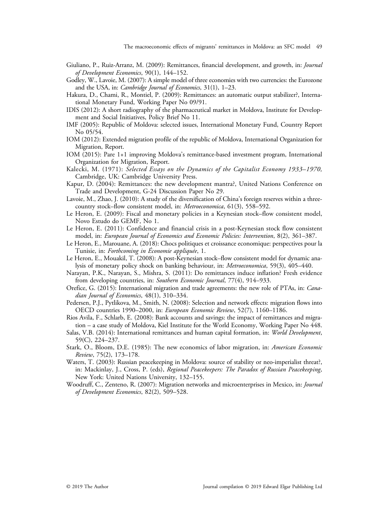- <span id="page-18-0"></span>Giuliano, P., Ruiz-Arranz, M. (2009): Remittances, financial development, and growth, in: Journal of Development Economics, 90(1), 144–152.
- Godley, W., Lavoie, M. (2007): A simple model of three economies with two currencies: the Eurozone and the USA, in: Cambridge Journal of Economics, 31(1), 1–23.
- Hakura, D., Chami, R., Montiel, P. (2009): Remittances: an automatic output stabilizer?, International Monetary Fund, Working Paper No 09/91.
- IDIS (2012): A short radiography of the pharmaceutical market in Moldova, Institute for Development and Social Initiatives, Policy Brief No 11.
- IMF (2005): Republic of Moldova: selected issues, International Monetary Fund, Country Report No 05/54.
- IOM (2012): Extended migration profile of the republic of Moldova, International Organization for Migration, Report.
- IOM (2015): Pare 1+1 improving Moldova's remittance-based investment program, International Organization for Migration, Report.
- Kalecki, M. (1971): Selected Essays on the Dynamics of the Capitalist Economy 1933–1970, Cambridge, UK: Cambridge University Press.
- Kapur, D. (2004): Remittances: the new development mantra?, United Nations Conference on Trade and Development, G-24 Discussion Paper No 29.
- Lavoie, M., Zhao, J. (2010): A study of the diversification of China's foreign reserves within a threecountry stock–flow consistent model, in: Metroeconomica, 61(3), 558–592.
- Le Heron, E. (2009): Fiscal and monetary policies in a Keynesian stock–flow consistent model, Novo Estudo do GEMF, No 1.
- Le Heron, E. (2011): Confidence and financial crisis in a post-Keynesian stock flow consistent model, in: European Journal of Economics and Economic Policies: Intervention, 8(2), 361–387.
- Le Heron, E., Marouane, A. (2018): Chocs politiques et croissance economique: perspectives pour la Tunisie, in: Forthcoming in Économie appliquée, 1.
- Le Heron, E., Mouakil, T. (2008): A post-Keynesian stock–flow consistent model for dynamic analysis of monetary policy shock on banking behaviour, in: Metroeconomica, 59(3), 405–440.
- Narayan, P.K., Narayan, S., Mishra, S. (2011): Do remittances induce inflation? Fresh evidence from developing countries, in: Southern Economic Journal, 77(4), 914-933.
- Orefice, G. (2015): International migration and trade agreements: the new role of PTAs, in: Canadian Journal of Economics, 48(1), 310-334.
- Pedersen, P.J., Pytlikova, M., Smith, N. (2008): Selection and network effects: migration flows into OECD countries 1990–2000, in: European Economic Review, 52(7), 1160–1186.
- Rios Avila, F., Schlarb, E. (2008): Bank accounts and savings: the impact of remittances and migration – a case study of Moldova, Kiel Institute for the World Economy, Working Paper No 448.
- Salas, V.B. (2014): International remittances and human capital formation, in: World Development, 59(C), 224–237.
- Stark, O., Bloom, D.E. (1985): The new economics of labor migration, in: American Economic Review, 75(2), 173–178.
- Waters, T. (2003): Russian peacekeeping in Moldova: source of stability or neo-imperialist threat?, in: Mackinlay, J., Cross, P. (eds), Regional Peacekeepers: The Paradox of Russian Peacekeeping, New York: United Nations University, 132–155.
- Woodruff, C., Zenteno, R. (2007): Migration networks and microenterprises in Mexico, in: Journal of Development Economics, 82(2), 509–528.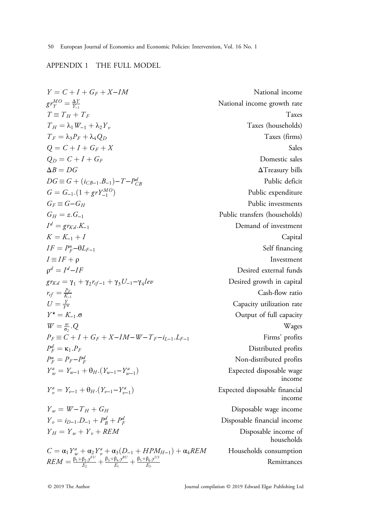# <span id="page-19-0"></span>APPENDIX 1 THE FULL MODEL

$$
Y = C + I + G_F + X - I M
$$
  
\n
$$
g r_Y^{MQ} = \frac{\Delta Y}{Y_{\perp}}
$$
  
\n
$$
T = T_H + T_F
$$
  
\n
$$
T_H = \lambda_1 W_{-1} + \lambda_2 Y_{\nu}
$$
  
\n
$$
T_F = \lambda_3 P_F + \lambda_4 Q_D
$$
  
\n
$$
Q = C + I + G_F + X
$$
  
\n
$$
\Delta B = DG
$$
  
\n
$$
G = G - (I + G_F - I) - T - P_{CB}
$$
  
\n
$$
G = G - G_H
$$
  
\n
$$
G_H = g \cdot T_{Kd} \cdot K_{-1}
$$
  
\n
$$
K = K_{-1} + I
$$
  
\n
$$
F = \frac{P_{\perp}}{P} - \theta L_{F-1}
$$
  
\n
$$
F = K_{-1} \cdot G
$$
  
\n
$$
V = K_{-1} \cdot G
$$
  
\n
$$
V = K_{-1} \cdot G
$$
  
\n
$$
V = K_{-1} \cdot G
$$
  
\n
$$
V = K_{-1} \cdot G
$$
  
\n
$$
V = K_{-1} \cdot G
$$
  
\n
$$
V = K_{-1} \cdot G
$$
  
\n
$$
V = \frac{F_F}{F}
$$
  
\n
$$
V = \frac{F_F}{F} - \theta L_{F-1}
$$
  
\n
$$
V = \frac{F_F}{F}
$$
  
\n
$$
V = \frac{F_F}{F}
$$
  
\n
$$
V = \frac{F_F}{F} - \theta L_{F-1}
$$
  
\n
$$
V = \frac{F_F}{F}
$$
  
\n
$$
V = \frac{F_F}{F} - \theta L_{F-1}
$$
  
\n
$$
V = \frac{F_F}{F} - \theta L_{F-1}
$$
  
\n
$$
V = \frac{F_F}{F} - \theta L_{F-1}
$$
  
\n
$$
V = \frac{F_F}{F} - \theta L_{F-1}
$$
  
\n
$$
V = \frac{F_F}{F} - \theta L_{F-1}
$$
  
\n
$$
V = \frac{F
$$

National income National income growth rate Taxes (households) Domestic sales  $ΔT$  reasury bills Public deficit Public expenditure Public investments Public transfers (households) Demand of investment Self financing Desired external funds Desired growth in capital Cash-flow ratio Capacity utilization rate Output of full capacity Firms' profits Distributed profits Non-distributed profits Expected disposable wage income Expected disposable financial income Disposable wage income Disposable financial income Disposable income of households  $E_A REM$  Households consumption Remittances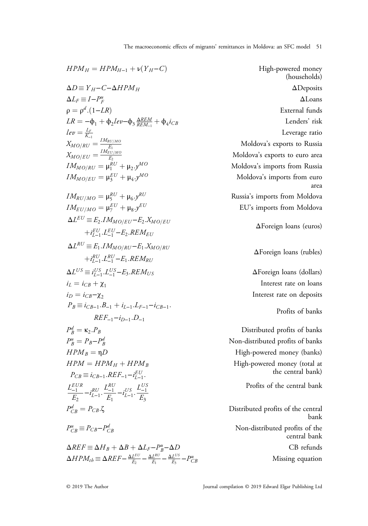The macroeconomic effects of migrants' remittances in Moldova: an SFC model 51

$$
HPMH = HPMH-1 + v(YH - C)
$$
  
\n
$$
ΔD \equiv YH - C-ΔHPMH
$$
  
\n
$$
ΔLF = I-PuF
$$
  
\n
$$
ρ = ρd.(1-LR)
$$
  
\n
$$
LR = -φ1 + φ2lev - φ3  $\frac{\Delta ECM}{kEM_{-1}}$   
\n
$$
LRE =  $\frac{L}{k_{-1}}$   
\n
$$
MMOfRU = \frac{1}{k_{-1}}
$$
  
\n
$$
MMOfRU = \mu1EC + μ2, yMO
$$
  
\n
$$
MMOfRU = \mu2EC + μ2, yMO
$$
  
\n
$$
MMOfRU = \mu2EC + μ2, yMO
$$
  
\n
$$
MMOfRU = \mu2EC + μ3, yEC 
$$
M0U0α's imports from Russia\n
$$
MMUfUiU = \mu2EC + μ3, yEC 
$$
M0U0α's imports from Models\n
$$
M2UiUiUiUiUiUiUiUiUiUiUiUiUiUiUiUiUiUiUiUi
$$
$$
$$
$$
$$
$$
$$

 $\Delta REF \equiv \Delta H_B + \Delta B + \Delta L_F - P_B^u - \Delta D$  CB refunds  $\Delta HPM_{th} \equiv \Delta REF - \frac{\Delta L^{EU}}{E_2} - \frac{\Delta L^{RU}}{E_1} - \frac{\Delta L^{US}}{E_3} - P_C^{th}$ 

(households)  $\Delta$ Deposits  $\Delta$ Loans Lenders' risk Leverage ratio Moldova's exports to Russia Moldova's exports to euro area Moldova's imports from Russia Moldova's imports from euro area Russia's imports from Moldova EU's imports from Moldova

ΔForeign loans (euros)

ΔForeign loans (rubles)

 $\Delta$ Foreign loans (dollars) Interest rate on loans Interest rate on deposits

Profits of banks

Distributed profits of banks Non-distributed profits of banks High-powered money (banks) High-powered money (total at the central bank)

Profits of the central bank

Distributed profits of the central bank Non-distributed profits of the central bank Missing equation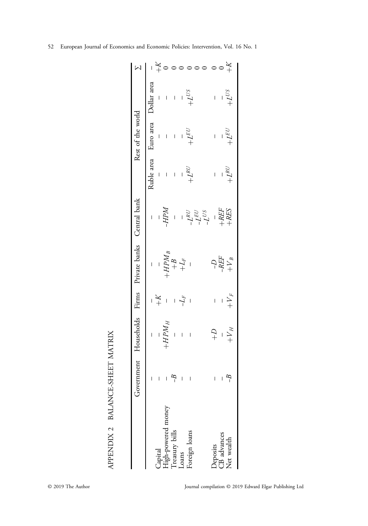<span id="page-21-0"></span>

|                                                                           |                                       |                   |                                 | Government Households Firms Private banks Central bank |                                                                                        |                                                 | Rest of the world             |                                                 |
|---------------------------------------------------------------------------|---------------------------------------|-------------------|---------------------------------|--------------------------------------------------------|----------------------------------------------------------------------------------------|-------------------------------------------------|-------------------------------|-------------------------------------------------|
|                                                                           |                                       |                   |                                 |                                                        |                                                                                        |                                                 |                               |                                                 |
|                                                                           | $\bar{1}-1$                           |                   |                                 |                                                        | $\begin{bmatrix} \mu dH^- \\ -\end{bmatrix}$                                           |                                                 |                               | Ruble area Euro area Dollar area                |
|                                                                           |                                       |                   |                                 |                                                        |                                                                                        |                                                 |                               |                                                 |
|                                                                           | $\overline{1}$                        |                   |                                 |                                                        |                                                                                        |                                                 | $\frac{1}{2}$ . $\frac{1}{2}$ |                                                 |
|                                                                           | $\mathcal{L}$                         |                   | $-\frac{1}{X}$ + $-\frac{1}{Y}$ |                                                        | $\frac{1}{2}$                                                                          |                                                 |                               |                                                 |
|                                                                           |                                       |                   |                                 |                                                        |                                                                                        |                                                 |                               |                                                 |
| Capital<br>High-powered money<br>Treasury bills<br>Loans<br>Foreign loans | $\begin{array}{c} \hline \end{array}$ |                   |                                 |                                                        |                                                                                        | $\begin{array}{c}\n1 & 1 \\ 1 & 1\n\end{array}$ | $+{\cal L}^{EU}$              | $\begin{array}{c}\n1 & 1 \\ 1 & 1\n\end{array}$ |
|                                                                           |                                       |                   |                                 |                                                        | $-\frac{1}{L}$<br>$-\frac{1}{L}$<br>$-\frac{1}{L}$<br>$+\frac{1}{R}$<br>$+\frac{1}{R}$ |                                                 |                               |                                                 |
|                                                                           | $\bar{\Gamma}$                        | $\mathcal{C}^{+}$ |                                 |                                                        |                                                                                        |                                                 | $\mathbf{L}$                  |                                                 |
|                                                                           |                                       |                   | $\frac{1}{1}$                   |                                                        |                                                                                        | $\frac{1}{2}$                                   |                               | $\frac{1}{2}$                                   |
| Deposits<br>CB advances<br>Net wealth                                     | $- B$                                 | $+V_H$            | $+ \boldsymbol{V}_F$            | $\begin{array}{c} -D \\ -REF \\ +V_B \end{array}$      |                                                                                        | $+L^{\mathcal{RU}}$                             | $+{\cal L}^{EU}$              | $+L^{US}$                                       |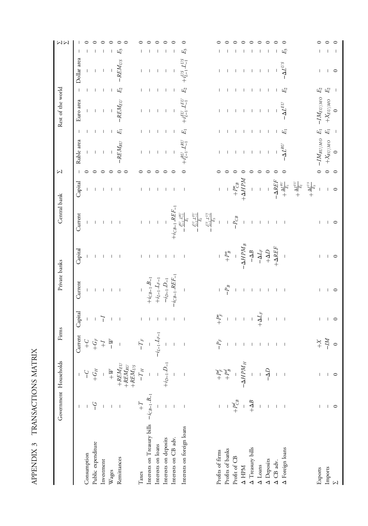| i<br>۱<br>I                                                                                     |  |
|-------------------------------------------------------------------------------------------------|--|
| ֚֓<br>j<br>$\overline{\phantom{a}}$<br>í<br>٢,<br>.<br>.                                        |  |
| ¢<br>١<br>֧֧֧֧֧֧֧֧֧֧֧֧֝֟֓֓֝֓֝֓֝֬֝֓֝֬֝֓֝֬֝֓֝֬֝֬<br>֧֧֧֧֧֧֧֧֧֪֧֧֧֧֧֧֧֝֝֝֬֝֬֝֬֝֬֝֬֝֬֝֬֝֬֝֬<br>֧֪֧֝ |  |

<span id="page-22-0"></span>

|                                               |                       | Government Households                                                                                             | Firms                                                                                                   |                          | Private banks                                                                                  |                                                                                                                                                                                   | Central bank                                                                                                                                                                                                                                                            |                                                                                                                                       | $\sum$             |                                                                                 |                          | Rest of the world                                             |                          |                          | NM                                  |
|-----------------------------------------------|-----------------------|-------------------------------------------------------------------------------------------------------------------|---------------------------------------------------------------------------------------------------------|--------------------------|------------------------------------------------------------------------------------------------|-----------------------------------------------------------------------------------------------------------------------------------------------------------------------------------|-------------------------------------------------------------------------------------------------------------------------------------------------------------------------------------------------------------------------------------------------------------------------|---------------------------------------------------------------------------------------------------------------------------------------|--------------------|---------------------------------------------------------------------------------|--------------------------|---------------------------------------------------------------|--------------------------|--------------------------|-------------------------------------|
|                                               |                       |                                                                                                                   | Current                                                                                                 | Capital                  | Current                                                                                        | Capital                                                                                                                                                                           | Current                                                                                                                                                                                                                                                                 | Capital                                                                                                                               |                    | Ruble area                                                                      | $\mathsf{I}$             | Euro area                                                     | $\mathsf I$              | Dollar area              |                                     |
| Consumption                                   |                       | $\overline{C}$                                                                                                    |                                                                                                         | $\mathsf I$              | $\mathsf I$                                                                                    |                                                                                                                                                                                   | 1                                                                                                                                                                                                                                                                       | $\overline{\phantom{a}}$                                                                                                              |                    | $\mathsf I$                                                                     |                          | $\mathbb{L}$                                                  | T                        | $\mathsf I$              |                                     |
| Public expenditure                            | $\overline{C}$        | $+G_H$                                                                                                            | $\begin{array}{cc} \tilde{\Gamma} & \tilde{\Gamma} \\ \tilde{\Gamma} & \tilde{\Gamma} \\ + \end{array}$ | $\perp$                  | $\mathsf I$                                                                                    | $\perp$                                                                                                                                                                           |                                                                                                                                                                                                                                                                         | $\mathsf I$                                                                                                                           | $\circ$            | $\mathbf{I}$                                                                    | $\mathbb{I}$             | $\mathbf{I}$                                                  | $\mathbf{I}$             |                          | ⊂                                   |
| Investment                                    |                       |                                                                                                                   |                                                                                                         | ד                        | $\blacksquare$                                                                                 | $\mathcal{A}$                                                                                                                                                                     |                                                                                                                                                                                                                                                                         | $\overline{\phantom{0}}$                                                                                                              | $\circ$            | $\perp$                                                                         | $\Box$                   | $\sim 1$                                                      | $\mathbf{I}$             | $\overline{\phantom{a}}$ | $\circ$<br>$\overline{\phantom{a}}$ |
| Wages                                         |                       |                                                                                                                   | $-W$                                                                                                    | $\blacksquare$           | $\Box$                                                                                         | $-1-1$                                                                                                                                                                            |                                                                                                                                                                                                                                                                         | $\overline{\phantom{0}}$                                                                                                              | $\circ$            | $\Box$                                                                          | $\Box$                   | $\sf I$                                                       | $\mid$                   | $\mathsf I$              | $\circ$<br>$\overline{\phantom{a}}$ |
| Remittances                                   |                       | $\begin{aligned} + \mathit{W} \\ + \mathit{REM}_{EU} \\ + \mathit{REM}_{RU} \\ + \mathit{REM}_{US} \end{aligned}$ | $\mathord{\text{\rm I}}$                                                                                | $\overline{\phantom{a}}$ | $\sim$ 1                                                                                       |                                                                                                                                                                                   | $\mathbf{I}$                                                                                                                                                                                                                                                            | $\overline{\phantom{a}}$                                                                                                              | $\circ$<br>$\circ$ | $-{\cal R}EM_{RU}$                                                              | $E_{\rm I}$              | $-REM_{EU}$                                                   | $E_2$                    | $-REM_{US}$              | $\circ$<br>$\circ$<br>$E_3$         |
| Taxes                                         | $\div$                | $-T_H$                                                                                                            |                                                                                                         | L                        |                                                                                                | L                                                                                                                                                                                 |                                                                                                                                                                                                                                                                         | L                                                                                                                                     |                    |                                                                                 |                          | L                                                             |                          |                          |                                     |
| Interests on Treasury bills $-i_{CB-1}B_{-1}$ |                       |                                                                                                                   | $-\frac{T_F}{1}$                                                                                        | $\mathbf I$              | -<br>+ $i_{CB-1}.B_{-1}$<br>+ $i_{L-1}.L_{F-1}$<br>- $i_{D-1}.D_{-1}$<br>- $i_{CB-1}.REF_{-1}$ | $\mathbf{I}$                                                                                                                                                                      |                                                                                                                                                                                                                                                                         | $\mathbf{I}$                                                                                                                          |                    | $\mathbf{I}$                                                                    |                          | $\mathbf{I}$                                                  |                          |                          |                                     |
| Interests on loans                            |                       |                                                                                                                   | $-i_{L-1}.L_{\mathit{F}-1}$                                                                             | $\overline{\phantom{0}}$ |                                                                                                | $\overline{\phantom{a}}$                                                                                                                                                          |                                                                                                                                                                                                                                                                         | $\mathbf{I}$                                                                                                                          |                    | $\mathbf{I}$                                                                    | $\overline{\phantom{a}}$ | $\begin{array}{c} \end{array}$                                | J.                       |                          |                                     |
| Interests on deposits                         |                       | $+i_{D-1}.D_{-1}$                                                                                                 | $\pm$ $\pm$                                                                                             | $\overline{\phantom{0}}$ |                                                                                                | $\overline{\phantom{a}}$                                                                                                                                                          |                                                                                                                                                                                                                                                                         |                                                                                                                                       | $\circ$            | $\overline{\phantom{a}}$                                                        | $\mathbf{I}$             | $\overline{\phantom{a}}$                                      | $\overline{\phantom{a}}$ |                          | ⊂                                   |
| Interests on CB adv.                          |                       |                                                                                                                   |                                                                                                         | $\overline{\phantom{a}}$ |                                                                                                | $\overline{\phantom{a}}$                                                                                                                                                          |                                                                                                                                                                                                                                                                         | $\mathbf{I}$                                                                                                                          | $\circ$            | T                                                                               | 1                        | $\begin{array}{c} \end{array}$                                |                          |                          |                                     |
| Interests on foreign loans                    | $\blacksquare$        | $\overline{\phantom{a}}$                                                                                          | -1                                                                                                      | $\overline{\phantom{a}}$ | $\mathbf I$                                                                                    | $\mathbf{I}$                                                                                                                                                                      |                                                                                                                                                                                                                                                                         | $\overline{\phantom{a}}$                                                                                                              |                    |                                                                                 | 叼                        |                                                               | $E_2$                    |                          | ○<br>$E_3$                          |
|                                               |                       |                                                                                                                   |                                                                                                         |                          |                                                                                                |                                                                                                                                                                                   | $\begin{array}{c} + i_{\ell B^{-1}} , R E F_{-1} \\ - \frac{f_{\ell L}^{U} L_{\ell l}^{H}}{f_{\ell l}^{H}} \\ - \frac{f_{\ell L}^{U} L_{\ell l}^{H}}{f_{\ell l}^{H}} \\ - \frac{f_{\ell L}^{U}}{f_{\ell l}^{H}} \\ - \frac{f_{\ell L}^{U}}{f_{\ell l}^{H}} \end{array}$ |                                                                                                                                       |                    |                                                                                 |                          |                                                               |                          |                          |                                     |
|                                               |                       |                                                                                                                   |                                                                                                         |                          |                                                                                                |                                                                                                                                                                                   |                                                                                                                                                                                                                                                                         |                                                                                                                                       |                    |                                                                                 |                          |                                                               |                          |                          |                                     |
| Profits of firms                              | $\bar{\Gamma}$        |                                                                                                                   | $-P_F$                                                                                                  | $4 + 1 + 1$              |                                                                                                |                                                                                                                                                                                   | $\bar{1}$                                                                                                                                                                                                                                                               | $\Gamma$                                                                                                                              |                    | L                                                                               | L                        | L                                                             |                          | L                        |                                     |
| Profits of banks                              |                       | $\begin{array}{c} +P_{F}^{d}\\ +P_{B}^{d} \end{array}$                                                            |                                                                                                         |                          | $-\frac{p}{B}$                                                                                 | $\begin{array}{r} -\phantom{+} \\ +\phantom{+}P^u_B \\ -\phantom{+} \Delta H P M_B \\ -\Delta L_F \\ -\Delta L_F \\ +\phantom{+} \Delta D \\ +\phantom{+} \Delta E F \end{array}$ |                                                                                                                                                                                                                                                                         |                                                                                                                                       |                    | $\overline{\phantom{a}}$                                                        | $\mathbf{I}$             | $\mathbf{I}$                                                  | $\overline{\phantom{a}}$ |                          |                                     |
| Profit of ${\rm CB}$                          | $-\frac{1}{P_{CB}^d}$ |                                                                                                                   | $\mathsf I$                                                                                             |                          | $\overline{\phantom{a}}$                                                                       |                                                                                                                                                                                   | $-P_{CB}$                                                                                                                                                                                                                                                               | -<br>+ $P_{CB}^u$ +<br>+ $\Delta HPM$ +                                                                                               |                    | $\overline{\phantom{a}}$                                                        | $\overline{\phantom{a}}$ | $\Box$                                                        | $\overline{\phantom{a}}$ | $\overline{\phantom{a}}$ |                                     |
|                                               |                       | $-\Delta H P M_H$                                                                                                 |                                                                                                         |                          | $\mathsf I$                                                                                    |                                                                                                                                                                                   | $\bar{1}$                                                                                                                                                                                                                                                               |                                                                                                                                       | $\circ$            | T                                                                               | $\mathsf I$              | $-1\leq 1\leq 1\leq 1$                                        | $\mathsf I$              | т                        | ⊂<br>т                              |
| $\Delta$ HPM $\Delta$ Treasury bills          | $+\Delta B$           | $\begin{array}{c} \begin{array}{c} 1 \\ 1 \end{array} \end{array}$                                                |                                                                                                         | $+\Delta I_F$            | $-1$ $-1$                                                                                      |                                                                                                                                                                                   | $\mathbf{I}$                                                                                                                                                                                                                                                            |                                                                                                                                       | $\circ$            | $\mathbf{I}$                                                                    | $\mathbf{I}$             |                                                               | $\mathbf{I}$             | $\mathbf{I}$             | っ                                   |
| $\Delta$ Loans                                |                       | $\overline{1}$                                                                                                    |                                                                                                         |                          |                                                                                                |                                                                                                                                                                                   | $\mathbf{I}$                                                                                                                                                                                                                                                            |                                                                                                                                       | $\circ$            | $\bar{1}$                                                                       | $\overline{\phantom{a}}$ |                                                               | $\mathsf I$              | $\overline{\phantom{a}}$ | ○<br>$\overline{\phantom{a}}$       |
| $\Delta$ Deposits                             | $\bar{1}$             | $\sigma \nabla^-$                                                                                                 |                                                                                                         |                          |                                                                                                |                                                                                                                                                                                   | $\perp$                                                                                                                                                                                                                                                                 |                                                                                                                                       | $\circ$            | $\mathbf{I}$                                                                    | $\overline{\phantom{a}}$ |                                                               | $\overline{1}$           | $\overline{\phantom{a}}$ | ○                                   |
| $\Delta$ CB adv.                              | $\bar{1}$             | $\overline{1}$                                                                                                    | $\begin{array}{cccccccccccccc} 1 & 1 & 1 & 1 & 1 & 1 & 1 & 1 \end{array}$                               |                          | $-1$ $-1$ $-1$                                                                                 |                                                                                                                                                                                   | $\overline{\phantom{0}}$                                                                                                                                                                                                                                                |                                                                                                                                       | $\circ$            | $\mathsf{L}$                                                                    | $\mathbf{I}$             |                                                               |                          |                          |                                     |
| A Foreign loans                               | $\blacksquare$        |                                                                                                                   |                                                                                                         | $\overline{\phantom{0}}$ |                                                                                                |                                                                                                                                                                                   | $\overline{\phantom{0}}$                                                                                                                                                                                                                                                |                                                                                                                                       |                    | $\Delta I^{RU}$                                                                 | 叼                        | $-\Delta I^{EU}$                                              | E2                       | $-\Delta L^{US}$         | Ę                                   |
|                                               |                       |                                                                                                                   |                                                                                                         |                          |                                                                                                |                                                                                                                                                                                   |                                                                                                                                                                                                                                                                         | $\begin{array}{rcl} -\Delta REF\\ +\frac{\Delta L^{RU}}{E_1} \\ +\frac{\Delta L^{RU}}{E_2} \\ +\frac{\Delta L^{US}}{E_3} \end{array}$ |                    |                                                                                 |                          |                                                               |                          |                          |                                     |
|                                               |                       |                                                                                                                   |                                                                                                         |                          |                                                                                                |                                                                                                                                                                                   |                                                                                                                                                                                                                                                                         |                                                                                                                                       |                    |                                                                                 |                          |                                                               |                          |                          |                                     |
| Exports                                       |                       | L                                                                                                                 |                                                                                                         | $\mathbf{L}$             | L                                                                                              | L                                                                                                                                                                                 | L                                                                                                                                                                                                                                                                       | $\mathbb T$                                                                                                                           |                    |                                                                                 |                          |                                                               | $E_2$                    |                          |                                     |
| Imports                                       | $\mathbf{I}$          | $\overline{\phantom{0}}$                                                                                          | $\stackrel{0}{\underset{M}{\times}}$ $\stackrel{0}{\underset{M}{\times}}$                               | $\overline{\phantom{0}}$ | $\overline{\phantom{0}}$                                                                       | $\mathbf{I}$                                                                                                                                                                      | $\mathbf{I}$                                                                                                                                                                                                                                                            |                                                                                                                                       | $\circ$            | $\begin{array}{ccc} -IM_{RU/MO} & E_1 \\ +X_{RU/MO} & E_1 \\ 0 & - \end{array}$ |                          | $\begin{array}{l} -IM_{EU/MO}\\ +X_{EU/MO}\\ 0 \end{array} .$ | $\,E\!2$                 | $\mathbf{I}$             | ⊂                                   |
| $\mathbb N$                                   | $\circ$               |                                                                                                                   |                                                                                                         |                          |                                                                                                | $\circ$                                                                                                                                                                           | $\circ$                                                                                                                                                                                                                                                                 | $\circ$                                                                                                                               | $\circ$            |                                                                                 |                          |                                                               | $\overline{\phantom{0}}$ | $\circ$                  | ⊂<br>$\overline{\phantom{a}}$       |